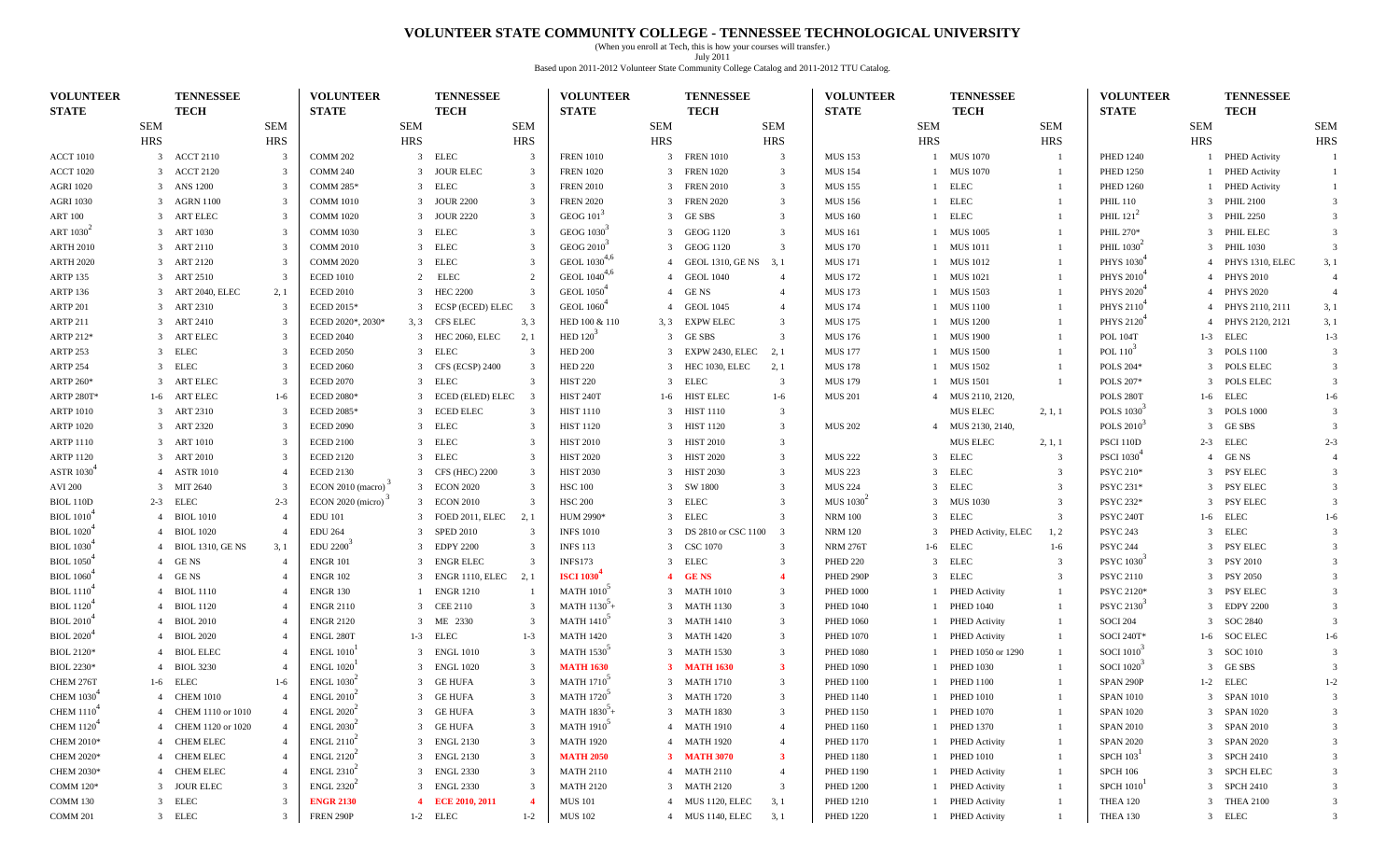#### **VOLUNTEER STATE COMMUNITY COLLEGE - TENNESSEE TECHNOLOGICAL UNIVERSITY**

(When you enroll at Tech, this is how your courses will transfer.) July 2011 Based upon 2011-2012 Volunteer State Community College Catalog and 2011-2012 TTU Catalog.

| <b>VOLUNTEER</b><br><b>STATE</b> |                | <b>TENNESSEE</b><br><b>TECH</b> |                | <b>VOLUNTEER</b><br><b>STATE</b>                |            | <b>TENNESSEE</b><br><b>TECH</b> |                          | <b>VOLUNTEER</b><br><b>STATE</b> |            | <b>TENNESSEE</b><br><b>TECH</b> |                         | <b>VOLUNTEER</b><br><b>STATE</b>         |                | <b>TENNESSEE</b><br><b>TECH</b> |                         | <b>VOLUNTEER</b><br><b>STATE</b> |            | <b>TENNESSEE</b><br><b>TECH</b> |                |
|----------------------------------|----------------|---------------------------------|----------------|-------------------------------------------------|------------|---------------------------------|--------------------------|----------------------------------|------------|---------------------------------|-------------------------|------------------------------------------|----------------|---------------------------------|-------------------------|----------------------------------|------------|---------------------------------|----------------|
|                                  | <b>SEM</b>     |                                 | <b>SEM</b>     |                                                 | <b>SEM</b> |                                 | <b>SEM</b>               |                                  | <b>SEM</b> |                                 | <b>SEM</b>              |                                          | <b>SEM</b>     |                                 | <b>SEM</b>              |                                  | <b>SEM</b> |                                 | SEM            |
|                                  | HRS            |                                 | <b>HRS</b>     |                                                 | <b>HRS</b> |                                 | <b>HRS</b>               |                                  | HRS        |                                 | <b>HRS</b>              |                                          | <b>HRS</b>     |                                 | <b>HRS</b>              |                                  | <b>HRS</b> |                                 | <b>HRS</b>     |
| <b>ACCT 1010</b>                 |                | 3 ACCT 2110                     | -3             | <b>COMM 202</b>                                 |            | 3 ELEC                          | 3                        | <b>FREN 1010</b>                 | 3          | <b>FREN 1010</b>                | $\overline{\mathbf{3}}$ | <b>MUS 153</b>                           |                | 1 MUS 1070                      |                         | <b>PHED 1240</b>                 |            | 1 PHED Activity                 | $\overline{1}$ |
| <b>ACCT 1020</b>                 |                | 3 ACCT 2120                     | $\mathcal{R}$  | <b>COMM 240</b>                                 |            | 3 JOUR ELEC                     | 3                        | <b>FREN 1020</b>                 |            | 3 FREN 1020                     | $\overline{\mathbf{3}}$ | <b>MUS 154</b>                           |                | 1 MUS 1070                      |                         | <b>PHED 1250</b>                 |            | 1 PHED Activity                 | -1             |
| <b>AGRI 1020</b>                 |                | 3 ANS 1200                      |                | <b>COMM 285*</b>                                |            | 3 ELEC                          | 3                        | <b>FREN 2010</b>                 |            | 3 FREN 2010                     | $\overline{\mathbf{3}}$ | <b>MUS 155</b>                           |                | 1 ELEC                          |                         | <b>PHED 1260</b>                 |            | 1 PHED Activity                 | -1             |
| AGRI 1030                        |                | 3 AGRN 1100                     |                | <b>COMM 1010</b>                                |            | 3 JOUR 2200                     | 3                        | <b>FREN 2020</b>                 |            | 3 FREN 2020                     | $\overline{\mathbf{3}}$ | <b>MUS 156</b>                           |                | 1 ELEC                          |                         | <b>PHIL 110</b>                  |            | 3 PHIL 2100                     | $\mathcal{R}$  |
| <b>ART 100</b>                   |                | 3 ART ELEC                      | -3             | <b>COMM 1020</b>                                |            | 3 JOUR 2220                     | $\overline{3}$           | <b>GEOG 101</b>                  |            | 3 GESBS                         | $\overline{\mathbf{3}}$ | <b>MUS 160</b>                           |                | 1 ELEC                          |                         | PHIL $121^2$                     |            | 3 PHIL 2250                     | $\mathcal{R}$  |
| ART $10302$                      | 3              | <b>ART 1030</b>                 |                | <b>COMM 1030</b>                                | 3          | ELEC                            | 3                        | GEOG 1030 <sup>3</sup>           |            | GEOG 1120                       | $\overline{3}$          | <b>MUS 161</b>                           |                | 1 MUS 1005                      |                         | PHIL 270*                        |            | 3 PHIL ELEC                     | 3              |
| <b>ARTH 2010</b>                 |                | 3 ART 2110                      |                | <b>COMM 2010</b>                                |            | 3 ELEC                          | 3                        | GEOG 2010 <sup>3</sup>           |            | 3 GEOG 1120                     | $\overline{3}$          | <b>MUS 170</b>                           |                | 1 MUS 1011                      |                         | PHIL $10302$                     |            | 3 PHIL 1030                     | $\overline{3}$ |
| <b>ARTH 2020</b>                 |                | 3 ART 2120                      |                | <b>COMM 2020</b>                                | 3          | <b>ELEC</b>                     |                          | GEOL $1030^{4,6}$                |            | 4 GEOL 1310, GE NS              | 3, 1                    | <b>MUS 171</b>                           |                | 1 MUS 1012                      |                         | <b>PHYS 1030</b>                 |            | 4 PHYS 1310, ELEC               | 3, 1           |
| <b>ARTP 135</b>                  |                | 3 ART 2510                      |                | <b>ECED 1010</b>                                | 2          | <b>ELEC</b>                     | $\mathcal{D}$            | GEOL 1040 <sup>4,6</sup>         |            | 4 GEOL 1040                     | $\overline{4}$          | <b>MUS 172</b>                           |                | 1 MUS 1021                      |                         | PHYS 2010                        |            | 4 PHYS 2010                     | $\overline{4}$ |
| <b>ARTP 136</b>                  |                | 3 ART 2040, ELEC                | 2,1            | <b>ECED 2010</b>                                | 3          | <b>HEC 2200</b>                 | $\overline{3}$           | <b>GEOL</b> 1050 <sup>+</sup>    |            | 4 GENS                          | $\overline{4}$          | <b>MUS 173</b>                           |                | 1 MUS 1503                      |                         | PHYS 2020                        |            | 4 PHYS 2020                     | $\overline{4}$ |
| <b>ARTP 201</b>                  |                | 3 ART 2310                      | 3              | <b>ECED 2015*</b>                               | 3          | ECSP (ECED) ELEC                | $\overline{\phantom{a}}$ | <b>GEOL</b> 1060 <sup>+</sup>    |            | <b>GEOL 1045</b>                | $\overline{4}$          | <b>MUS 174</b>                           |                | 1 MUS 1100                      |                         | PHYS 2110                        |            | 4 PHYS 2110, 2111               | 3, 1           |
| <b>ARTP 211</b>                  |                | 3 ART 2410                      |                | ECED 2020*, 2030*                               |            | 3, 3 CFS ELEC                   | 3, 3                     | HED 100 & 110                    | 3, 3       | <b>EXPW ELEC</b>                | $\overline{3}$          | <b>MUS 175</b>                           |                | 1 MUS 1200                      |                         | PHYS 2120                        |            | 4 PHYS 2120, 2121               | 3,1            |
| ARTP 212*                        |                | 3 ART ELEC                      |                | <b>ECED 2040</b>                                |            | 3 HEC 2060, ELEC                | 2,1                      | HED $120^3$                      |            | 3 GESBS                         | -3                      | <b>MUS 176</b>                           |                | 1 MUS 1900                      |                         | <b>POL 104T</b>                  |            | 1-3 ELEC                        | $1 - 3$        |
| <b>ARTP 253</b>                  |                | 3 ELEC                          |                | <b>ECED 2050</b>                                |            | 3 ELEC                          | 3                        | <b>HED 200</b>                   |            | 3 EXPW 2430, ELEC               | 2, 1                    | <b>MUS 177</b>                           |                | 1 MUS 1500                      |                         | POL $110^3$                      |            | 3 POLS 1100                     | $\mathcal{R}$  |
| <b>ARTP 254</b>                  |                | 3 ELEC                          | -3             | <b>ECED 2060</b>                                | 3          | CFS (ECSP) 2400                 | 3                        | <b>HED 220</b>                   |            | 3 HEC 1030, ELEC                | 2, 1                    | <b>MUS 178</b>                           |                | 1 MUS 1502                      | -1                      | <b>POLS 204*</b>                 |            | 3 POLS ELEC                     | -3             |
| ARTP 260*                        | 3              | <b>ART ELEC</b>                 | -3             | <b>ECED 2070</b>                                | 3          | <b>ELEC</b>                     | 3                        | <b>HIST 220</b>                  | 3          | ELEC                            | $\overline{\mathbf{3}}$ | <b>MUS 179</b>                           |                | <b>MUS 1501</b>                 |                         | POLS 207*                        |            | 3 POLS ELEC                     | $\overline{3}$ |
| ARTP 280T*                       |                | 1-6 ART ELEC                    | $1-6$          | <b>ECED 2080*</b>                               | 3          | ECED (ELED) ELEC                | -3                       | <b>HIST 240T</b>                 | $1-6$      | <b>HIST ELEC</b>                | $1-6$                   | <b>MUS 201</b>                           |                | 4 MUS 2110, 2120,               |                         | POLS 280T                        |            | 1-6 ELEC                        | $1-6$          |
| <b>ARTP 1010</b>                 |                | 3 ART 2310                      |                | <b>ECED 2085*</b>                               | 3          | <b>ECED ELEC</b>                | 3                        | <b>HIST 1110</b>                 |            | 3 HIST 1110                     | $\overline{\mathbf{3}}$ |                                          |                | <b>MUS ELEC</b>                 | 2, 1, 1                 | POLS 1030 <sup>3</sup>           |            | 3 POLS 1000                     |                |
| <b>ARTP 1020</b>                 |                | 3 ART 2320                      |                | <b>ECED 2090</b>                                |            | 3 ELEC                          | 3                        | <b>HIST 1120</b>                 |            | 3 HIST 1120                     | $\overline{\mathbf{3}}$ | <b>MUS 202</b>                           |                | 4 MUS 2130, 2140,               |                         | POLS 2010 <sup>3</sup>           |            | 3 GESBS                         |                |
| <b>ARTP 1110</b>                 |                | 3 ART 1010                      | -3             | <b>ECED 2100</b>                                |            | 3 ELEC                          | 3                        | <b>HIST 2010</b>                 |            | 3 HIST 2010                     | $\overline{\mathbf{3}}$ |                                          |                | <b>MUS ELEC</b>                 | 2, 1, 1                 | PSCI 110D                        |            | $2-3$ ELEC                      | $2 - 3$        |
| <b>ARTP 1120</b>                 |                | 3 ART 2010                      |                | <b>ECED 2120</b>                                | 3          | <b>ELEC</b>                     | 3                        | <b>HIST 2020</b>                 |            | 3 HIST 2020                     | $\overline{\mathbf{3}}$ | <b>MUS 222</b>                           |                | 3 ELEC                          | 3                       | <b>PSCI 1030</b>                 |            | 4 GENS                          |                |
| <b>ASTR 1030</b>                 |                | 4 ASTR 1010                     |                | <b>ECED 2130</b>                                |            | 3 CFS (HEC) 2200                | 3                        | <b>HIST 2030</b>                 |            | 3 HIST 2030                     | $\overline{3}$          | <b>MUS 223</b>                           | $\overline{3}$ | <b>ELEC</b>                     | -3                      | <b>PSYC 210*</b>                 |            | 3 PSY ELEC                      | 3              |
| <b>AVI 200</b>                   |                | 3 MIT 2640                      |                | ECON 2010 (macro)                               | 3          | <b>ECON 2020</b>                | 3                        | <b>HSC 100</b>                   |            | 3 SW 1800                       | $\overline{3}$          | <b>MUS 224</b>                           |                | 3 ELEC                          | 3                       | PSYC 231*                        |            | 3 PSY ELEC                      |                |
| <b>BIOL 110D</b>                 |                | $2-3$ ELEC                      | $2 - 3$        | ECON 2020 (micro)                               |            | 3 ECON 2010                     | 3                        | <b>HSC 200</b>                   |            | 3 ELEC                          | $\overline{3}$          | MUS 1030 <sup><math>\degree</math></sup> |                | 3 MUS 1030                      | 3                       | PSYC 232*                        |            | 3 PSY ELEC                      | $\mathcal{R}$  |
| <b>BIOL</b> 1010 <sup>4</sup>    | 4              | <b>BIOL 1010</b>                | -4             | <b>EDU 101</b>                                  | 3          | FOED 2011, ELEC                 | 2, 1                     | HUM 2990*                        |            | 3 ELEC                          | -3                      | <b>NRM 100</b>                           |                | 3 ELEC                          | $\overline{\mathbf{3}}$ | PSYC 240T                        |            | $1-6$ ELEC                      | $1-6$          |
| <b>BIOL</b> 1020 <sup>+</sup>    | 4              | <b>BIOL 1020</b>                |                | <b>EDU 264</b>                                  | 3          | <b>SPED 2010</b>                | 3                        | <b>INFS 1010</b>                 | 3          | DS 2810 or CSC 1100             | $\overline{\mathbf{3}}$ | <b>NRM 120</b>                           |                | 3 PHED Activity, ELEC           | 1, 2                    | <b>PSYC 243</b>                  |            | 3 ELEC                          |                |
| <b>BIOL</b> 1030 <sup>4</sup>    | 4              | <b>BIOL 1310, GE NS</b>         | 3,1            | EDU 2200                                        | 3          | <b>EDPY 2200</b>                | 3                        | <b>INFS 113</b>                  |            | 3 CSC 1070                      | $\overline{3}$          | <b>NRM 276T</b>                          |                | 1-6 ELEC                        | $1-6$                   | <b>PSYC 244</b>                  |            | 3 PSY ELEC                      | $\mathcal{R}$  |
| <b>BIOL</b> 1050 <sup>4</sup>    |                | 4 GENS                          |                | <b>ENGR 101</b>                                 | 3          | <b>ENGR ELEC</b>                | 3                        | <b>INFS173</b>                   |            | 3 ELEC                          | $\overline{\mathbf{3}}$ | <b>PHED 220</b>                          |                | 3 ELEC                          | 3                       | <b>PSYC</b> 1030 <sup>-1</sup>   |            | 3 PSY 2010                      |                |
| <b>BIOL</b> 1060 <sup>+</sup>    |                | 4 GENS                          |                | <b>ENGR 102</b>                                 |            | 3 ENGR 1110, ELEC               | 2.1                      | <b>ISCI 1030</b>                 |            | 4 GENS                          | $\overline{4}$          | PHED 290P                                |                | 3 ELEC                          | -3                      | <b>PSYC 2110</b>                 |            | 3 PSY 2050                      |                |
| <b>BIOL</b> 1110 <sup>4</sup>    |                | 4 BIOL 1110                     |                | <b>ENGR 130</b>                                 |            | <b>ENGR 1210</b>                | -1                       | <b>MATH 1010</b>                 |            | 3 MATH 1010                     | $\overline{\mathbf{3}}$ | <b>PHED 1000</b>                         |                | 1 PHED Activity                 |                         | PSYC 2120*                       |            | 3 PSY ELEC                      |                |
| BIOL $1120^4$                    |                | <b>BIOL 1120</b>                |                | <b>ENGR 2110</b>                                | 3          | <b>CEE 2110</b>                 | 3                        | MATH $1130^3$ +                  |            | 3 MATH 1130                     | $\overline{\mathbf{3}}$ | <b>PHED 1040</b>                         |                | 1 PHED 1040                     |                         | PSYC 2130                        |            | 3 EDPY 2200                     | $\mathcal{R}$  |
| <b>BIOL</b> 2010 <sup>4</sup>    |                | 4 BIOL 2010                     |                | <b>ENGR 2120</b>                                |            | 3 ME 2330                       | 3                        | <b>MATH 1410</b>                 |            | 3 MATH 1410                     | $\overline{\mathbf{3}}$ | <b>PHED 1060</b>                         |                | 1 PHED Activity                 |                         | <b>SOCI 204</b>                  |            | 3 SOC 2840                      | $\overline{3}$ |
| <b>BIOL</b> 2020 <sup>4</sup>    |                | 4 BIOL 2020                     |                | ENGL 280T                                       |            | 1-3 ELEC                        | $1 - 3$                  | <b>MATH 1420</b>                 |            | 3 MATH 1420                     | $\overline{\mathbf{3}}$ | <b>PHED 1070</b>                         |                | 1 PHED Activity                 |                         | <b>SOCI 240T*</b>                |            | 1-6 SOC ELEC                    | $1-6$          |
| <b>BIOL 2120*</b>                | $\overline{4}$ | <b>BIOL ELEC</b>                |                | <b>ENGL 1010</b>                                |            | 3 ENGL 1010                     | 3                        | <b>MATH 1530</b>                 |            | 3 MATH 1530                     | $\overline{\mathbf{3}}$ | <b>PHED 1080</b>                         |                | 1 PHED 1050 or 1290             | $\overline{1}$          | <b>SOCI 1010</b>                 |            | 3 SOC 1010                      | $\mathcal{R}$  |
| <b>BIOL 2230*</b>                | 4              | <b>BIOL 3230</b>                | $\overline{4}$ | <b>ENGL 1020</b>                                | 3          | <b>ENGL 1020</b>                | $\overline{3}$           | <b>MATH 1630</b>                 |            | 3 MATH 1630                     | $\overline{\mathbf{3}}$ | <b>PHED 1090</b>                         | $\mathbf{1}$   | <b>PHED 1030</b>                | -1                      | <b>SOCI 1020</b>                 |            | 3 GESBS                         | $\mathcal{R}$  |
| CHEM 276T                        |                | 1-6 ELEC                        | $1-6$          | ENGL 1030 <sup>2</sup>                          | 3          | <b>GE HUFA</b>                  | 3                        | <b>MATH 1710</b>                 |            | 3 MATH 1710                     | $\overline{\mathbf{3}}$ | <b>PHED 1100</b>                         |                | <b>PHED 1100</b>                |                         | SPAN 290P                        |            | 1-2 ELEC                        | $1 - 2$        |
| CHEM $10304$                     |                | 4 CHEM 1010                     |                | ENGL 2010 <sup>2</sup>                          |            | 3 GE HUFA                       | 3                        | <b>MATH 1720</b>                 |            | 3 MATH 1720                     | $\overline{3}$          | <b>PHED 1140</b>                         |                | 1 PHED 1010                     |                         | <b>SPAN 1010</b>                 |            | 3 SPAN 1010                     | $\overline{3}$ |
| <b>CHEM 1110<sup>*</sup></b>     |                | 4 CHEM 1110 or 1010             |                | ENGL 2020 <sup>2</sup>                          |            | 3 GE HUFA                       | 3                        | $MATH 1830 +$                    |            | 3 MATH 1830                     | $\mathbf{3}$            | <b>PHED 1150</b>                         |                | 1 PHED 1070                     |                         | <b>SPAN 1020</b>                 |            | 3 SPAN 1020                     |                |
| <b>CHEM 1120</b> <sup>*</sup>    |                | 4 CHEM 1120 or 1020             |                | ENGL 2030 <sup>2</sup>                          |            | 3 GE HUFA                       | 3                        | <b>MATH 1910</b>                 |            | 4 MATH 1910                     | 4                       | <b>PHED 1160</b>                         |                | 1 PHED 1370                     |                         | <b>SPAN 2010</b>                 |            | 3 SPAN 2010                     |                |
| <b>CHEM 2010*</b>                |                | 4 CHEM ELEC                     |                | $ENGL$ 2110 <sup><math>\degree</math></sup>     |            | 3 ENGL 2130                     | 3                        | <b>MATH 1920</b>                 |            | 4 MATH 1920                     | 4                       | <b>PHED 1170</b>                         |                | 1 PHED Activity                 |                         | <b>SPAN 2020</b>                 |            | 3 SPAN 2020                     |                |
| CHEM 2020*                       | $\overline{4}$ | CHEM ELEC                       |                | $ENGL$ 2120 <sup><math>\sim</math></sup>        |            | 3 ENGL 2130                     | 3                        | <b>MATH 2050</b>                 |            | 3 MATH 3070                     | $\mathbf{3}$            | <b>PHED 1180</b>                         |                | 1 PHED 1010                     |                         | $SPCH 103$ <sup>1</sup>          |            | 3 SPCH 2410                     | 3              |
| CHEM 2030*                       |                | 4 CHEM ELEC                     |                | $ENGL$ 2310 <sup><math>\textdegree</math></sup> |            | 3 ENGL 2330                     | 3                        | <b>MATH 2110</b>                 |            | 4 MATH 2110                     | $\overline{4}$          | <b>PHED 1190</b>                         |                | 1 PHED Activity                 | -1                      | <b>SPCH 106</b>                  |            | 3 SPCH ELEC                     | 3              |
| COMM 120*                        |                | 3 JOUR ELEC                     |                | ENGL 2320 <sup>2</sup>                          |            | 3 ENGL 2330                     | 3                        | <b>MATH 2120</b>                 |            | 3 MATH 2120                     | $\mathbf{3}$            | <b>PHED 1200</b>                         |                | 1 PHED Activity                 |                         | <b>SPCH 1010</b>                 |            | 3 SPCH 2410                     | 3              |
| COMM 130                         |                | 3 ELEC                          |                | <b>ENGR 2130</b>                                |            | 4 ECE 2010, 2011                |                          | <b>MUS 101</b>                   |            | 4 MUS 1120, ELEC                | 3, 1                    | <b>PHED 1210</b>                         |                | 1 PHED Activity                 |                         | THEA 120                         |            | 3 THEA 2100                     | 3              |
| COMM 201                         |                | 3 ELEC                          |                | FREN 290P                                       |            | 1-2 ELEC                        | $1 - 2$                  | <b>MUS 102</b>                   |            | 4 MUS 1140, ELEC                | 3, 1                    | <b>PHED 1220</b>                         |                | 1 PHED Activity                 |                         | THEA 130                         |            | 3 ELEC                          | 3              |